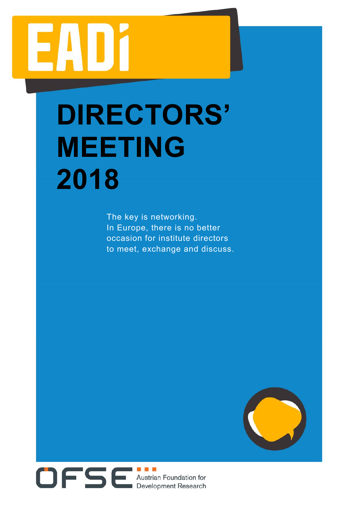# 74 DM

# DIRECTORS' MEETING 2018

The key is networking. In Europe, there is no better occasion for institute directors to meet, exchange and discuss.



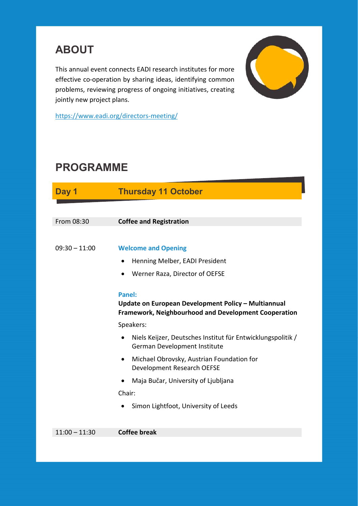## ABOUT

This annual event connects EADI research institutes for more effective co-operation by sharing ideas, identifying common problems, reviewing progress of ongoing initiatives, creating jointly new project plans.



https://www.eadi.org/directors-meeting/

### PROGRAMME

| Day 1           | <b>Thursday 11 October</b>                                                                                                   |
|-----------------|------------------------------------------------------------------------------------------------------------------------------|
|                 |                                                                                                                              |
| From 08:30      | <b>Coffee and Registration</b>                                                                                               |
|                 |                                                                                                                              |
| $09:30 - 11:00$ | <b>Welcome and Opening</b>                                                                                                   |
|                 | Henning Melber, EADI President<br>$\bullet$                                                                                  |
|                 | Werner Raza, Director of OEFSE                                                                                               |
|                 | Panel:<br>Update on European Development Policy - Multiannual<br><b>Framework, Neighbourhood and Development Cooperation</b> |
|                 | Speakers:                                                                                                                    |
|                 | Niels Keijzer, Deutsches Institut für Entwicklungspolitik /<br>$\bullet$<br>German Development Institute                     |
|                 | Michael Obrovsky, Austrian Foundation for<br>$\bullet$<br>Development Research OEFSE                                         |
|                 | Maja Bučar, University of Ljubljana                                                                                          |
|                 | Chair:                                                                                                                       |
|                 | Simon Lightfoot, University of Leeds<br>$\bullet$                                                                            |
| $11:00 - 11:30$ | <b>Coffee break</b>                                                                                                          |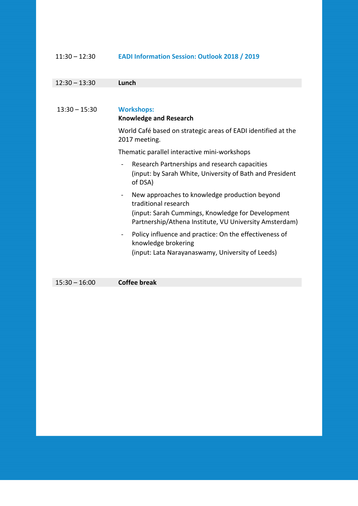#### 11:30 – 12:30 **EADI Information Session: Outlook 2018 / 2019**

| $12:30 - 13:30$ | Lunch                                                                                                                                                                                          |
|-----------------|------------------------------------------------------------------------------------------------------------------------------------------------------------------------------------------------|
|                 |                                                                                                                                                                                                |
| $13:30 - 15:30$ | <b>Workshops:</b><br><b>Knowledge and Research</b>                                                                                                                                             |
|                 | World Café based on strategic areas of EADI identified at the<br>2017 meeting.                                                                                                                 |
|                 | Thematic parallel interactive mini-workshops                                                                                                                                                   |
|                 | Research Partnerships and research capacities<br>(input: by Sarah White, University of Bath and President<br>of DSA)                                                                           |
|                 | New approaches to knowledge production beyond<br>$\sim$<br>traditional research<br>(input: Sarah Cummings, Knowledge for Development<br>Partnership/Athena Institute, VU University Amsterdam) |
|                 | Policy influence and practice: On the effectiveness of<br>$\blacksquare$<br>knowledge brokering<br>(input: Lata Narayanaswamy, University of Leeds)                                            |

15:30 – 16:00 **Coffee break**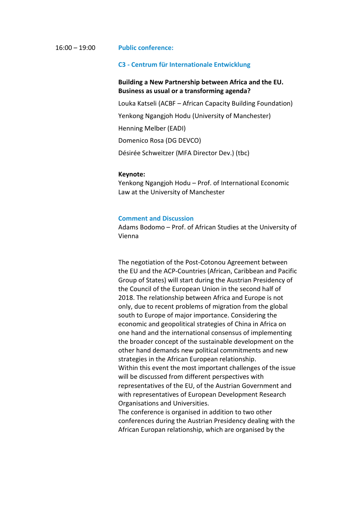#### 16:00 – 19:00 **Public conference:**

#### **C3 - Centrum für Internationale Entwicklung**

#### **Building a New Partnership between Africa and the EU. Business as usual or a transforming agenda?**

Louka Katseli (ACBF – African Capacity Building Foundation)

Yenkong Ngangjoh Hodu (University of Manchester)

Henning Melber (EADI)

Domenico Rosa (DG DEVCO)

Désirée Schweitzer (MFA Director Dev.) (tbc)

#### **Keynote:**

Yenkong Ngangjoh Hodu – Prof. of International Economic Law at the University of Manchester

#### **Comment and Discussion**

Adams Bodomo – Prof. of African Studies at the University of Vienna

The negotiation of the Post-Cotonou Agreement between the EU and the ACP-Countries (African, Caribbean and Pacific Group of States) will start during the Austrian Presidency of the Council of the European Union in the second half of 2018. The relationship between Africa and Europe is not only, due to recent problems of migration from the global south to Europe of major importance. Considering the economic and geopolitical strategies of China in Africa on one hand and the international consensus of implementing the broader concept of the sustainable development on the other hand demands new political commitments and new strategies in the African European relationship. Within this event the most important challenges of the issue will be discussed from different perspectives with representatives of the EU, of the Austrian Government and with representatives of European Development Research Organisations and Universities.

The conference is organised in addition to two other conferences during the Austrian Presidency dealing with the African Europan relationship, which are organised by the